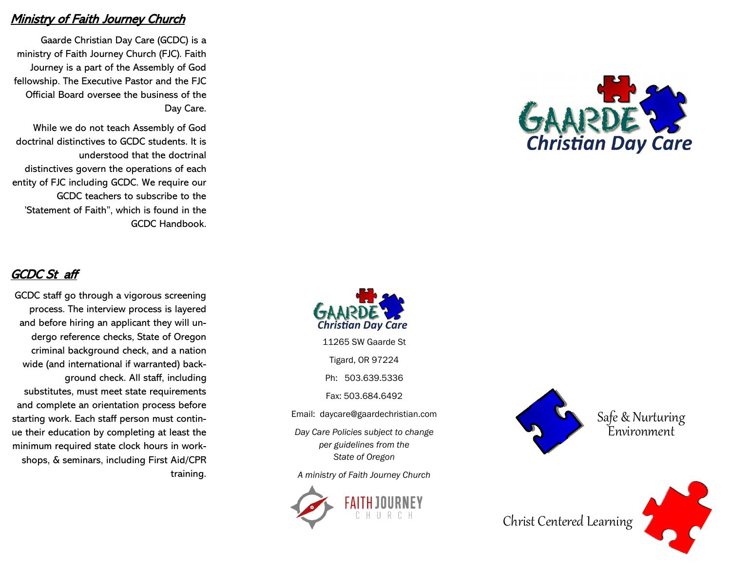### **Ministry of Faith Journey Church**

Gaarde Christian Day Care (GCDC) is a ministry of Faith Journey Church (FJC). Faith Journey is a part of the Assembly of God fellowship. The Executive Pastor and the FJC Official Board oversee the business of the Day Care.

While we do not teach Assembly of God doctrinal distinctives to GCDC students. It is understood that the doctrinal distinctives govern the operations of each entity of FJC including GCDC. We require our GCDC teachers to subscribe to the 'Statement of Faith", which is found in the GCDC Handbook.

# GCDC St aff

GCDC staff go through a vigorous screening process. The interview process is layered and before hiring an applicant they will undergo reference checks, State of Oregon criminal background check, and a nation wide (and international if warranted) background check. All staff, including substitutes, must meet state requirements and complete an orientation process before starting work. Each staff person must continue their education by completing at least the minimum required state clock hours in workshops, & seminars, including First Aid/CPR training.





11265 SW Gaarde St

Tigard, OR 97224

Ph: 503.639.5336

Fax: 503.684.6492

Email: daycare@gaardechristian.com

*Day Care Policies subject to change per guidelines from the State of Oregon* 

*A ministry of Faith Journey Church*





Christ Centered Learning